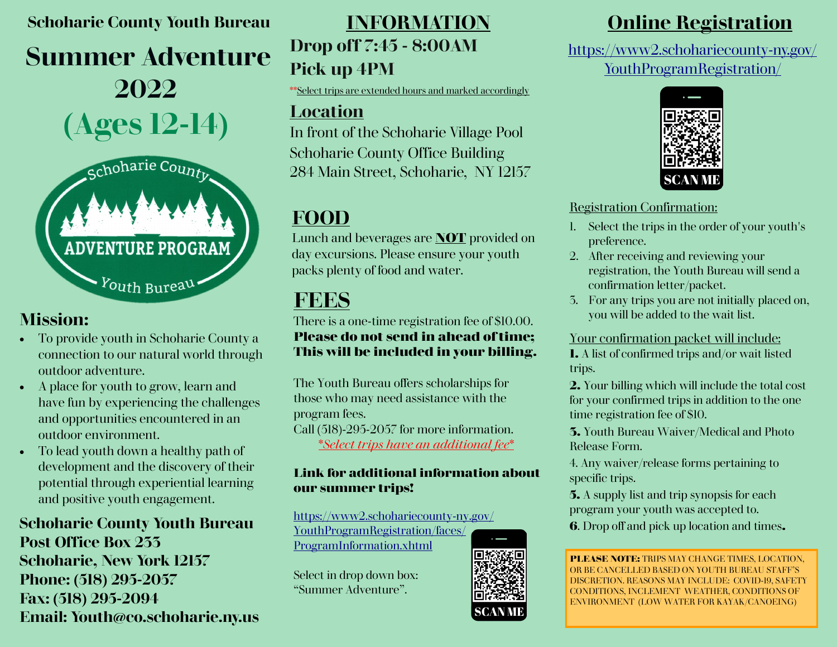## **Schoharie County Youth Bureau**

# **Summer Adventure 2022 (Ages 12-14)**



## **Mission:**

- To provide youth in Schoharie County a connection to our natural world through outdoor adventure.
- A place for youth to grow, learn and have fun by experiencing the challenges and opportunities encountered in an outdoor environment.
- To lead youth down a healthy path of development and the discovery of their potential through experiential learning and positive youth engagement.

## **Schoharie County Youth Bureau Post Office Box 233 Schoharie, New York 12157 Phone: (518) 295-2057 Fax: (518) 295-2094 Email: Youth@co.schoharie.ny.us**

# **Drop off 7:45 - 8:00AM Pick up 4PM**

\*\*Select trips are extended hours and marked accordingly

## **Location**

In front of the Schoharie Village Pool Schoharie County Office Building 284 Main Street, Schoharie, NY 12157

## **FOOD**

Lunch and beverages are **NOT** provided on day excursions. Please ensure your youth packs plenty of food and water.

## **FEES**

There is a one-time registration fee of \$10.00. **Please do not send in ahead of time; This will be included in your billing.**

The Youth Bureau offers scholarships for those who may need assistance with the program fees. Call (518)-295-2057 for more information. \**Select trips have an additional fee*\*

### **Link for additional information about our summer trips!**

[https://www2.schohariecounty](https://www2.schohariecounty-ny.gov/YouthProgramRegistration/faces/ProgramInformation.xhtml)-ny.gov/ [YouthProgramRegistration/faces/](https://www2.schohariecounty-ny.gov/YouthProgramRegistration/faces/ProgramInformation.xhtml) [ProgramInformation.xhtml](https://www2.schohariecounty-ny.gov/YouthProgramRegistration/faces/ProgramInformation.xhtml)

Select in drop down box: "Summer Adventure".

## **INFORMATION Online Registration**

[https://www2.schohariecounty](https://www2.schohariecounty-ny.gov/YouthProgramRegistration/)-ny.gov/ [YouthProgramRegistration/](https://www2.schohariecounty-ny.gov/YouthProgramRegistration/)



### Registration Confirmation:

- 1. Select the trips in the order of your youth's preference.
- 2. After receiving and reviewing your registration, the Youth Bureau will send a confirmation letter/packet.
- 3. For any trips you are not initially placed on, you will be added to the wait list.

### Your confirmation packet will include:

**1.** A list of confirmed trips and/or wait listed trips.

**2.** Your billing which will include the total cost for your confirmed trips in addition to the one time registration fee of \$10.

**3.** Youth Bureau Waiver/Medical and Photo Release Form.

4. Any waiver/release forms pertaining to specific trips.

**5.** A supply list and trip synopsis for each program your youth was accepted to.

**6**. Drop off and pick up location and times**.**

**PLEASE NOTE:** TRIPS MAY CHANGE TIMES, LOCATION, OR BE CANCELLED BASED ON YOUTH BUREAU STAFF'S DISCRETION. REASONS MAY INCLUDE: COVID-19, SAFETY CONDITIONS, INCLEMENT WEATHER, CONDITIONS OF ENVIRONMENT (LOW WATER FOR KAYAK/CANOEING)